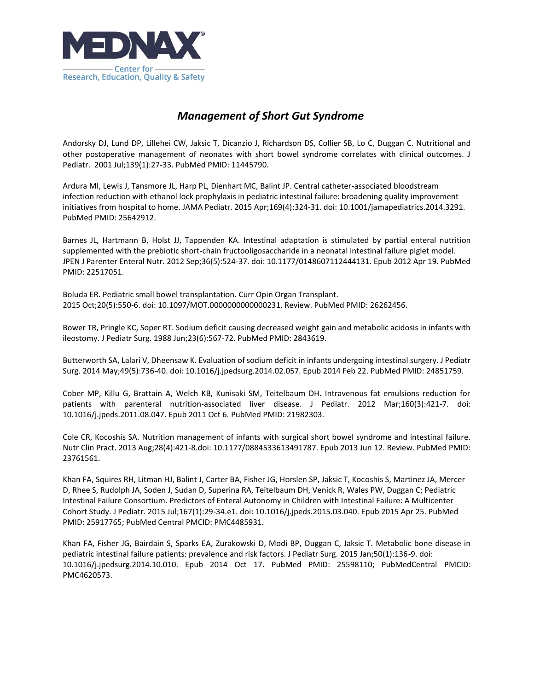

## *Management of Short Gut Syndrome*

Andorsky DJ, Lund DP, Lillehei CW, Jaksic T, Dicanzio J, Richardson DS, Collier SB, Lo C, Duggan C. Nutritional and other postoperative management of neonates with short bowel syndrome correlates with clinical outcomes. J Pediatr. 2001 Jul;139(1):27-33. PubMed PMID: 11445790.

Ardura MI, Lewis J, Tansmore JL, Harp PL, Dienhart MC, Balint JP. Central catheter-associated bloodstream infection reduction with ethanol lock prophylaxis in pediatric intestinal failure: broadening quality improvement initiatives from hospital to home. JAMA Pediatr. 2015 Apr;169(4):324-31. doi: 10.1001/jamapediatrics.2014.3291. PubMed PMID: 25642912.

Barnes JL, Hartmann B, Holst JJ, Tappenden KA. Intestinal adaptation is stimulated by partial enteral nutrition supplemented with the prebiotic short-chain fructooligosaccharide in a neonatal intestinal failure piglet model. JPEN J Parenter Enteral Nutr. 2012 Sep;36(5):524-37. doi: 10.1177/0148607112444131. Epub 2012 Apr 19. PubMed PMID: 22517051.

Boluda ER. Pediatric small bowel transplantation. Curr Opin Organ Transplant. 2015 Oct;20(5):550-6. doi: 10.1097/MOT.0000000000000231. Review. PubMed PMID: 26262456.

Bower TR, Pringle KC, Soper RT. Sodium deficit causing decreased weight gain and metabolic acidosis in infants with ileostomy. J Pediatr Surg. 1988 Jun;23(6):567-72. PubMed PMID: 2843619.

Butterworth SA, Lalari V, Dheensaw K. Evaluation of sodium deficit in infants undergoing intestinal surgery. J Pediatr Surg. 2014 May;49(5):736-40. doi: 10.1016/j.jpedsurg.2014.02.057. Epub 2014 Feb 22. PubMed PMID: 24851759.

Cober MP, Killu G, Brattain A, Welch KB, Kunisaki SM, Teitelbaum DH. Intravenous fat emulsions reduction for patients with parenteral nutrition-associated liver disease. J Pediatr. 2012 Mar;160(3):421-7. doi: 10.1016/j.jpeds.2011.08.047. Epub 2011 Oct 6. PubMed PMID: 21982303.

Cole CR, Kocoshis SA. Nutrition management of infants with surgical short bowel syndrome and intestinal failure. Nutr Clin Pract. 2013 Aug;28(4):421-8.doi: 10.1177/0884533613491787. Epub 2013 Jun 12. Review. PubMed PMID: 23761561.

Khan FA, Squires RH, Litman HJ, Balint J, Carter BA, Fisher JG, Horslen SP, Jaksic T, Kocoshis S, Martinez JA, Mercer D, Rhee S, Rudolph JA, Soden J, Sudan D, Superina RA, Teitelbaum DH, Venick R, Wales PW, Duggan C; Pediatric Intestinal Failure Consortium. Predictors of Enteral Autonomy in Children with Intestinal Failure: A Multicenter Cohort Study. J Pediatr. 2015 Jul;167(1):29-34.e1. doi: 10.1016/j.jpeds.2015.03.040. Epub 2015 Apr 25. PubMed PMID: 25917765; PubMed Central PMCID: PMC4485931.

Khan FA, Fisher JG, Bairdain S, Sparks EA, Zurakowski D, Modi BP, Duggan C, Jaksic T. Metabolic bone disease in pediatric intestinal failure patients: prevalence and risk factors. J Pediatr Surg. 2015 Jan;50(1):136-9. doi: 10.1016/j.jpedsurg.2014.10.010. Epub 2014 Oct 17. PubMed PMID: 25598110; PubMedCentral PMCID: PMC4620573.